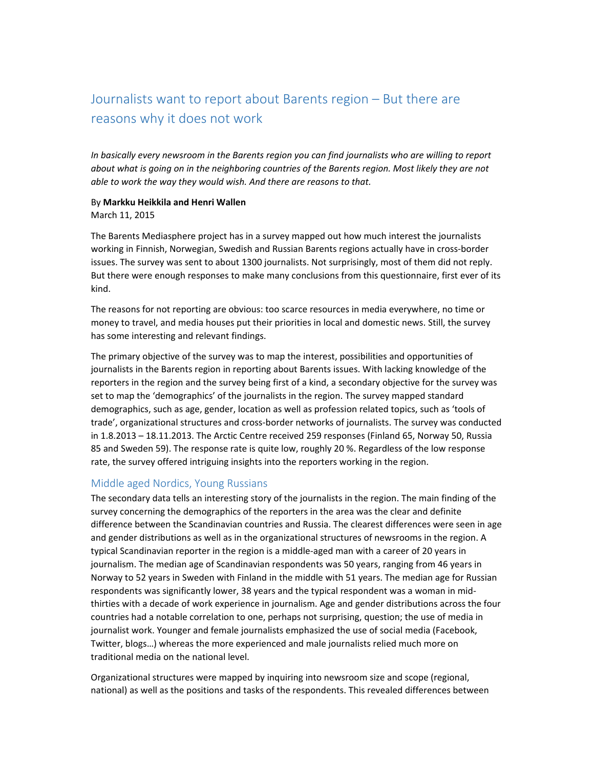# Journalists want to report about Barents region – But there are reasons why it does not work

*In basically every newsroom in the Barents region you can find journalists who are willing to report about what is going on in the neighboring countries of the Barents region. Most likely they are not able to work the way they would wish. And there are reasons to that.* 

## By **Markku Heikkila and Henri Wallen**

#### March 11, 2015

The Barents Mediasphere project has in a survey mapped out how much interest the journalists working in Finnish, Norwegian, Swedish and Russian Barents regions actually have in cross‐border issues. The survey was sent to about 1300 journalists. Not surprisingly, most of them did not reply. But there were enough responses to make many conclusions from this questionnaire, first ever of its kind.

The reasons for not reporting are obvious: too scarce resources in media everywhere, no time or money to travel, and media houses put their priorities in local and domestic news. Still, the survey has some interesting and relevant findings.

The primary objective of the survey was to map the interest, possibilities and opportunities of journalists in the Barents region in reporting about Barents issues. With lacking knowledge of the reporters in the region and the survey being first of a kind, a secondary objective for the survey was set to map the 'demographics' of the journalists in the region. The survey mapped standard demographics, such as age, gender, location as well as profession related topics, such as 'tools of trade', organizational structures and cross‐border networks of journalists. The survey was conducted in 1.8.2013 – 18.11.2013. The Arctic Centre received 259 responses (Finland 65, Norway 50, Russia 85 and Sweden 59). The response rate is quite low, roughly 20 %. Regardless of the low response rate, the survey offered intriguing insights into the reporters working in the region.

### Middle aged Nordics, Young Russians

The secondary data tells an interesting story of the journalists in the region. The main finding of the survey concerning the demographics of the reporters in the area was the clear and definite difference between the Scandinavian countries and Russia. The clearest differences were seen in age and gender distributions as well as in the organizational structures of newsrooms in the region. A typical Scandinavian reporter in the region is a middle‐aged man with a career of 20 years in journalism. The median age of Scandinavian respondents was 50 years, ranging from 46 years in Norway to 52 years in Sweden with Finland in the middle with 51 years. The median age for Russian respondents was significantly lower, 38 years and the typical respondent was a woman in mid‐ thirties with a decade of work experience in journalism. Age and gender distributions across the four countries had a notable correlation to one, perhaps not surprising, question; the use of media in journalist work. Younger and female journalists emphasized the use of social media (Facebook, Twitter, blogs…) whereas the more experienced and male journalists relied much more on traditional media on the national level.

Organizational structures were mapped by inquiring into newsroom size and scope (regional, national) as well as the positions and tasks of the respondents. This revealed differences between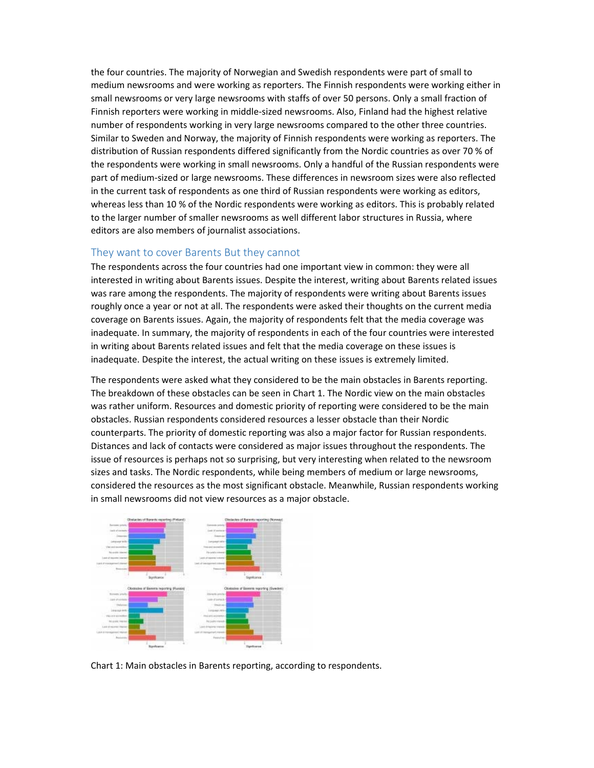the four countries. The majority of Norwegian and Swedish respondents were part of small to medium newsrooms and were working as reporters. The Finnish respondents were working either in small newsrooms or very large newsrooms with staffs of over 50 persons. Only a small fraction of Finnish reporters were working in middle‐sized newsrooms. Also, Finland had the highest relative number of respondents working in very large newsrooms compared to the other three countries. Similar to Sweden and Norway, the majority of Finnish respondents were working as reporters. The distribution of Russian respondents differed significantly from the Nordic countries as over 70 % of the respondents were working in small newsrooms. Only a handful of the Russian respondents were part of medium‐sized or large newsrooms. These differences in newsroom sizes were also reflected in the current task of respondents as one third of Russian respondents were working as editors, whereas less than 10 % of the Nordic respondents were working as editors. This is probably related to the larger number of smaller newsrooms as well different labor structures in Russia, where editors are also members of journalist associations.

#### They want to cover Barents But they cannot

The respondents across the four countries had one important view in common: they were all interested in writing about Barents issues. Despite the interest, writing about Barents related issues was rare among the respondents. The majority of respondents were writing about Barents issues roughly once a year or not at all. The respondents were asked their thoughts on the current media coverage on Barents issues. Again, the majority of respondents felt that the media coverage was inadequate. In summary, the majority of respondents in each of the four countries were interested in writing about Barents related issues and felt that the media coverage on these issues is inadequate. Despite the interest, the actual writing on these issues is extremely limited.

The respondents were asked what they considered to be the main obstacles in Barents reporting. The breakdown of these obstacles can be seen in Chart 1. The Nordic view on the main obstacles was rather uniform. Resources and domestic priority of reporting were considered to be the main obstacles. Russian respondents considered resources a lesser obstacle than their Nordic counterparts. The priority of domestic reporting was also a major factor for Russian respondents. Distances and lack of contacts were considered as major issues throughout the respondents. The issue of resources is perhaps not so surprising, but very interesting when related to the newsroom sizes and tasks. The Nordic respondents, while being members of medium or large newsrooms, considered the resources as the most significant obstacle. Meanwhile, Russian respondents working in small newsrooms did not view resources as a major obstacle.



Chart 1: Main obstacles in Barents reporting, according to respondents.